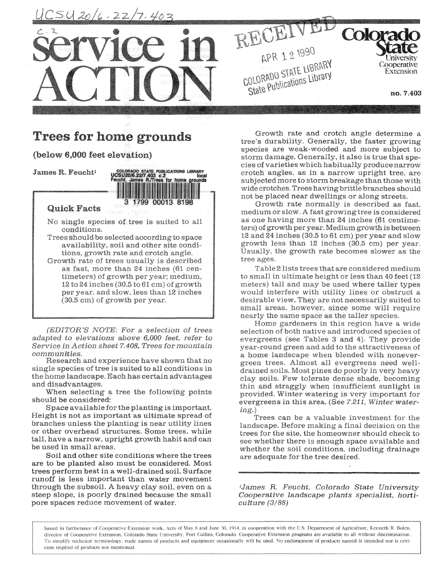

local ounds

# Trees **for home grounds**

## (below **6,000** feet **elevation)**

James R. Feucht<sup>1</sup> COLORADO STATE PUBLICATIONS LIBRARY<br>IOCS UCSU20/6.22/7.403 c.2<br>Feucht, James R./Trees for home grounds

## **Quick Facts**

No single species of tree is suited to all conditions.

1799 00013 8198

Trees should be selected according to space availability, soil and other site conditions, growth rate and crotch angle. Growth rate of trees usually is described as fast, more than 24 inches (61 centimeters) of growth per year; medium,  $12$  to  $24$  inches (30.5 to  $61$  cm) of growth per year, and slow, less than 12 inches (30.5 cm) of growth per year.

 $(EDITION'S NOTE: For a selection of trees$ adapted to elevations above 6,000 feet, refer to Service in Action sheet 7.408, Trees for mountain<br>communities.

Research and experience have shown that no single species of tree is suited to all conditions in the home landscape. Each has certain advantages<br>and disadvantages.

**When** selecting a tree **the** following points should be considered:

Space available for the planting is important. Height is not as important as ultimate spread of branches unless **the** planting is near utility lines or other overhead structures. Some trees, while **tall,** have a narrow, upright growth habit and can be used in small areas.

Soil and other site conditions where the trees are to be planted also must be considered. Most trees perform best in a well-drained soil. Surface runoff is less important than water movement through the subsoil. A heavy clay soil, even on a steep slope, is poorly drained because the small pore spaces reduce movement of water.

Growth rate and crotch angle determine a tree's durability. Generally, the faster growing species are weak-wooded and more subject to storm damage. Generally, it also is true that species of varieties which habitually produce narrow crotch angles, as in a narrow upright tree, are subjected more to storm breakage than those with wide crotches. Trees having brittle branches should not be placed near dwellings or along streets.

Growth rate normally is described as fast, **medium** or slow. A fast growing tree is considered as one having more than 24 inches (61 centimeters) of growth per year. Medium growth is between 12 and 24 inches (30.5 to 61 cm) per year and slow growth less than 12 inches (30.5 cm) per year. Usually, the growth rate becomes slower as the tree **ages.** 

Table 2 lists trees that are considered medium to small in ultimate height or less than 40 feet (12 meters) tall and may be used where taller types would interfere with utility lines or obstruct a desirable view. They are not necessarily suited to **small areas, however, since some** will **require**  nearly the same space as the taller species.

 $ide$ er-Home gardeners in this region have a wide selection of both native and introduced species of evergreens (see Tables 3 and **4);** They provide year-round green and add to the attractiveness of a home landscape when blended with **nonever**green trees. Almost all evergreens need welldrained soils. Most pines do poorly in very heavy clay soils. Few tolerate dense shade, becoming thin and straggly when insufficient sunlight is provided. Winter watering is very important for evergreens in this area. (See *7.211, Winter watering.)* 

Trees can be a valuable investment for the landscape. Before making a final decision on the trees for the site, the homeowner should check to see whether there is enough space available and whether the soil conditions, including drainage are adequate for the tree desired.

*<sup>1</sup>James R. Feucht, Colorado State University Cooperative landscape plants specialist, horticulture (3/88)* 

Issued in furtherance of **Cooperative Extension** work, Acts of **May** 8 and June **30,** 1914, in cooperation with the US. Department of Agriculture, Kenneth R. Bolen, director of **Cooperative** Extension, Colorado State University, Fort Collins, Colorado. **Cooperative** Extension programs are available to all without discrimination. **To** simplify technical terminology, trade names of products and equipment occasionally will be used. No endorsement of products named is intended nor is criticism implied of **products** not mentioned.